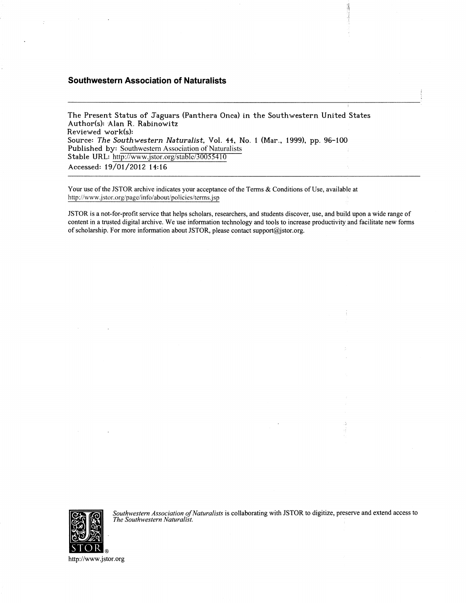# **Southwestern Association of Naturalists**

The Present Status of Jaguars (Panthera Onca) in the Southwestern United States **Author(s): Alan R. Rabinowitz Reviewed work(s): Source:** *The Southwestern Naturalist,* **Vol. 44, No. 1 (Mar., 1999), pp. 96-100**  Published by: Southwestern Association of Naturalists Stable URL: http://www.jstor.org/stable/30055410 **Accessed: 19/01/2012 14:16** 

Your use of the JSTOR archive indicates your acceptance of the Terms & Conditions of Use, available at http://www.jstor.org/page/info/about/policies/terms.jsp

JSTOR is a not-for-profit service that helps scholars, researchers, and students discover, use, and build upon a wide range of content in a trusted digital archive. We use information technology and tools to increase productivity and facilitate new forms of scholarship. For more information about JSTOR, please contact support@jstor.org .

賃



*Southwestern Association of Naturalists* is collaborating with JSTOR to digitize, preserve and extend access to *The Southwestern Naturalist.* 

http://www.jstor.org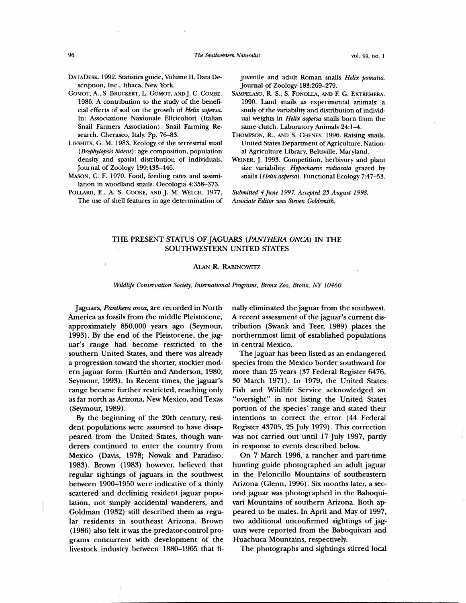- **DATADESK. 1992. Statistics guide, Volume II. Data Description, Inc., Ithaca, New York.**
- **GOMOT, A., S. BRUCKERT, L. GOMOT, AND J. C. COMBE. 1986. A contribution to the study of the beneficial effects of soil on the growth of** *Helix aspersa.*  **In: Associazione Naxionale Elicicoltori (Italian Snail Farmers Association). Snail Farming Research. Cherasco, Italy. Pp. 76-83.**
- **LIVSHITS, G. M. 1983. Ecology of the terrestrial snail**  *(Brephylopsis bidens):* **age composition, population density and spatial distribution of individuals. Journal of Zoology 199:433-446.**
- **MASON, C. F. 1970. Food, feeding rates and assimilation in woodland snails. Oecologia 4:358-373.**
- **POLLARD, E., A. S. COOKE, AND J. M. WELCH. 1977. The use of shell features in age determination of**

**juvenile and adult Roman snails** *Helix pomatia.*  **Journal of Zoology 183:269-279.** 

- **SAMPELAYO, R. S., S. FONOLLA, AND F. G. EXTREMERA. 1990. Land snails as experimental animals: a study of the variability and distribution of individual weights in** *Helix aspersa* **snails born from the same clutch. Laboratory Animals 24:1-4.**
- **THOMPSON, R., AND S. CHENEY. 1996. Raising snails. United States Department of Agriculture, National Agriculture Library, Beltsville, Maryland.**
- **WEINER, J. 1993. Competition, herbivory and plant size variability:** *Hypochaeris radiacata* **grazed by snails** *(Helix aspersa).* **Functional Ecology 7:47-53.**

*Submitted 4 June 1997. Accepted 25 August 1998. Associate Editor was Steven Goldsmith.* 

## **THE PRESENT STATUS OF JAGUARS** *(PANTHERA ONCA)* **IN THE SOUTHWESTERN UNITED STATES**

#### **ALAN R. RABINOWITZ**

*Wildlife Conservation Society, International Programs, Bronx Zoo, Bronx, NY 10460* 

**Jaguars,** *Panthera onca,* **are recorded in North America as fossils from the middle Pleistocene, approximately 850,000 years ago (Seymour, 1993). By the end of the Pleistocene, the jaguar's range had become restricted to the southern United States, and there was already a progression toward the shorter, stockier mod**ern jaguar form (Kurtén and Anderson, 1980; **Seymour, 1993). In Recent times, the jaguar's range became further restricted, reaching only as far north as Arizona, New Mexico, and Texas (Seymour, 1989).** 

**By the beginning of the 20th century, resident populations were assumed to have disappeared from the United States, though wanderers continued to enter the country from Mexico (Davis, 1978; Nowak and Paradiso, 1983). Brown (1983) however, believed that regular sightings of jaguars in the southwest between 1900-1950 were indicative of a thinly scattered and declining resident jaguar population, not simply accidental wanderers, and Goldman (1932) still described them as regular residents in southeast Arizona. Brown (1986) also felt it was the predator-control programs concurrent with development of the livestock industry between 1880-1965 that fi-** **nally eliminated the jaguar from the southwest. A recent assessment of the jaguar's current distribution (Swank and Teer, 1989) places the northernmost limit of established populations in central Mexico.** 

**The jaguar has been listed as an endangered species from the Mexico border southward for more than 25 years (37 Federal Register 6476, 30 March 1971). In 1979, the United States Fish and Wildlife Service acknowledged an "oversight" in not listing the United States portion of the species' range and stated their intentions to correct the error (44 Federal Register 43705, 25 July 1979). This correction was not carried out until 17 July 1997, partly in response to events described below.** 

**On 7 March 1996, a rancher and part-time hunting guide photographed an adult jaguar in the Peloncillo Mountains of southeastern Arizona (Glenn, 1996). Six months later, a second jaguar was photographed in the Baboquivari Mountains of southern Arizona. Both appeared to be males. In April and May of 1997, two additional unconfirmed sightings of jaguars were reported from the Baboquivari and Huachuca Mountains, respectively.** 

**The photographs and sightings stirred local**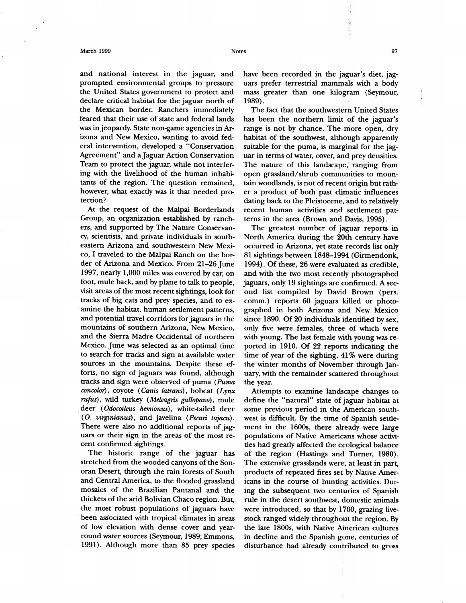#### **March 1999** 97

**and national interest in the jaguar, and prompted environmental groups to pressure the United States government to protect and declare critical habitat for the jaguar north of the Mexican border. Ranchers immediately feared that their use of state and federal lands was in jeopardy. State non-game agencies in Arizona and New Mexico, wanting to avoid federal intervention, developed a "Conservation Agreement" and a Jaguar Action Conservation Team to protect the jaguar, while not interfering with the livelihood of the human inhabitants of the region. The question remained, however, what exactly was it that needed protection?** 

**At the request of the Malpai Borderlands Group, an organization established by ranchers, and supported by The Nature Conservancy, scientists, and private individuals in southeastern Arizona and southwestern New Mexico, I traveled to the Malpai Ranch on the border of Arizona and Mexico. From 21-26 June 1997, nearly 1,000 miles was covered by car, on foot, mule back, and by plane to talk to people, visit areas of the most recent sightings, look for tracks of big cats and prey species, and to examine the habitat, human settlement patterns, and potential travel corridors for jaguars in the mountains of southern Arizona, New Mexico, and the Sierra Madre Occidental of northern Mexico. June was selected as an optimal time to search for tracks and sign at available water sources in the mountains. Despite these efforts, no sign of jaguars was found, although tracks and sign were observed of puma** *(Puma concolor) ,* **coyote** *( Canis latrans) ,* **bobcat** *(Lynx rufus),* **wild turkey** *(Meleagris gallopavo),* **mule deer** *(Odocoileus hemionus),* **white-tailed deer**  *(0. virginianus),* **and javelina** *(Pecan tajacu).*  **There were also no additional reports of jaguars or their sign in the areas of the most recent confirmed sightings.** 

**The historic range of the jaguar has stretched from the wooded canyons of the Sonoran Desert, through the rain forests of South and Central America, to the flooded grassland mosaics of the Brazilian Pantanal and the thickets of the arid Bolivian Chaco region. But, the most robust populations of jaguars have been associated with tropical climates in areas of low elevation with dense cover and yearround water sources (Seymour, 1989; Emmons, 1991). Although more than 85 prey species** 

**have been recorded in the jaguar's diet, jaguars prefer terrestrial mammals with a body mass greater than one kilogram (Seymour, 1989).** 

**The fact that the southwestern United States has been the northern limit of the jaguar's range is not by chance. The more open, dry habitat of the southwest, although apparently suitable for the puma, is marginal for the jaguar in terms of water, cover, and prey densities. The nature of this landscape, ranging from open grassland/shrub communities to mountain woodlands, is not of recent origin but rather a product of both past climatic influences dating back to the Pleistocene, and to relatively recent human activities and settlement patterns in the area (Brown and Davis, 1995).** 

**The greatest number of jaguar reports in North America during the 20th century have occurred in Arizona, yet state records list only 81 sightings between 1848-1994 (Girmendonk, 1994). Of these, 26 were evaluated as credible, and with the two most recently photographed jaguars, only 19 sightings are confirmed. A second list compiled by David Brown (pers. comm.) reports 60 jaguars killed or photographed in both Arizona and New Mexico since 1890. Of 20 individuals identified by sex, only five were females, three of which were with young. The last female with young was reported in 1910. Of 22 reports indicating the time of year of the sighting, 41 % were during the winter months of November. through January, with the remainder scattered throughout the year.** 

**Attempts to examine landscape changes to define the "natural" state of jaguar habitat at some previous period in the American southwest is difficult. By the time of Spanish settlement in the 1600s, there already were large populations of Native Americans whose activities had greatly affected the ecological balance of the region (Hastings and Turner, 1980). The extensive grasslands were, at least in part, products of repeated fires set by Native Americans in the course of hunting activities. During the subsequent two centuries of Spanish rule in the desert southwest, domestic animals were introduced, so that by 1700, grazing livestock ranged widely throughout the region. By the late 1800s, with Native Ainerican cultures in decline and the Spanish gone, centuries of disturbance had already contributed to gross**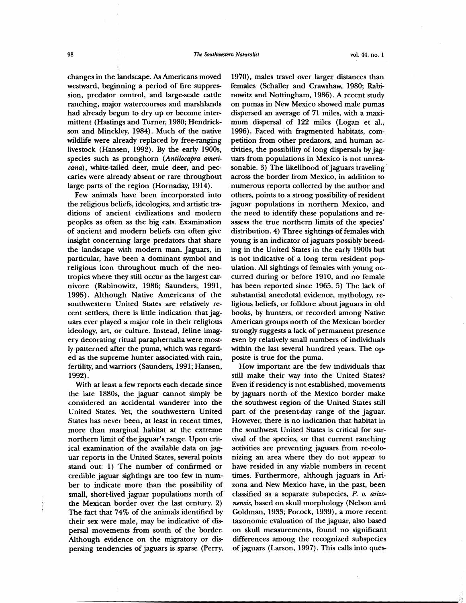**changes in the landscape. As Americans moved westward, beginning a period of fire suppression, predator control, and large-scale cattle ranching, major watercourses and marshlands had already begun to dry up or become intermittent (Hastings and Turner, 1980; Hendrickson and Minckley, 1984). Much of the native wildlife were already replaced by free-ranging livestock (Hansen, 1992). By the early 1900s, species such as pronghorn** *(Antilocapra americana) ,* **white-tailed deer, mule deer, and peccaries were already absent or rare throughout large parts of the region (Hornaday, 1914).** 

**Few animals have been incorporated into the religious beliefs, ideologies, and artistic traditions of ancient civilizations and modern peoples as often as the big cats. Examination of ancient and modern beliefs can often give insight concerning large predators that share the landscape with modern man. Jaguars, in particular, have been a dominant symbol and religious icon throughout much of the neotropics where they still occur as the largest carnivore (Rabinowitz, 1986; Saunders, 1991, 1995). Although Native Americans of the southwestern United States are relatively recent settlers, there is little indication that jaguars ever played a major role in their religious ideology, art, or culture. Instead, feline imagery decorating ritual paraphernalia were mostly patterned after the puma, which was regarded as the supreme hunter associated with rain, fertility, and warriors (Saunders, 1991; Hansen, 1992).** 

**With at least a few reports each decade since the late 1880s, the jaguar cannot simply be considered an accidental wanderer into the United States. Yet, the southwestern United States has never been, at least in recent times, more than marginal habitat at the extreme northern limit of the jaguar's range. Upon critical examination of the available data on jaguar reports in the United States, several points stand out: 1) The number of confirmed or credible jaguar sightings are too few in number to indicate more than the possibility of small, short-lived jaguar populations north of the Mexican border over the last century. 2) The fact that 74% of the animals identified by their sex were male, may be indicative of dispersal movements from south of the border. Although evidence on the migratory or dispersing tendencies of jaguars is sparse (Perry,** 

**1970) , males travel over larger distances than females (Schaller and Crawshaw, 1980; Rabinowitz and Nottingham, 1986). A recent study on pumas in New Mexico showed male pumas dispersed an average of 71 miles, with a maximum dispersal of 122 miles (Logan et al., 1996). Faced with fragmented habitats, competition from other predators, and human activities, the possibility of long dispersals by jaguars from populations in Mexico is not unreasonable. 3) The likelihood of jaguars traveling across the border from Mexico, in addition to numerous reports collected by the author and others, points to a strong possibility of resident jaguar populations in northern Mexico, and the need to identify these populations and reassess the true northern limits of the species' distribution. 4) Three sightings of females with young is an indicator of jaguars possibly breeding in the United States in the early 1900s but is not indicative of a long term resident population. All sightings of females with young occurred during or before 1910, and no female has been reported since 1965. 5) The lack of substantial anecdotal evidence, mythology, religious beliefs, or folklore about jaguars in old books, by hunters, or recorded among Native American groups north of the Mexican border strongly suggests a lack of permanent presence even by relatively small numbers of individuals within the last several hundred years. The opposite is true for the puma.** 

**How important are the few individuals that still make their way into the United States? Even if residency is not established, movements by jaguars north of the Mexico border make the southwest region of the United States still part of the present-day range of the jaguar. However, there is no indication that habitat in the southwest United States is critical for survival of the species, or that current ranching activities are preventing jaguars from re-colonizing an area where they do not appear to have resided in any viable numbers in recent times. Furthermore, although jaguars in Arizona and New Mexico have, in the past, been classified as a separate subspecies,** *P. o. arizonensis,* **based on skull morphology (Nelson and Goldman, 1933; Pocock, 1939) , a more recent taxonomic evaluation of the jaguar, also based on skull measurements, found no significant differences among the recognized subspecies of jaguars (Larson, 1997). This calls into ques-**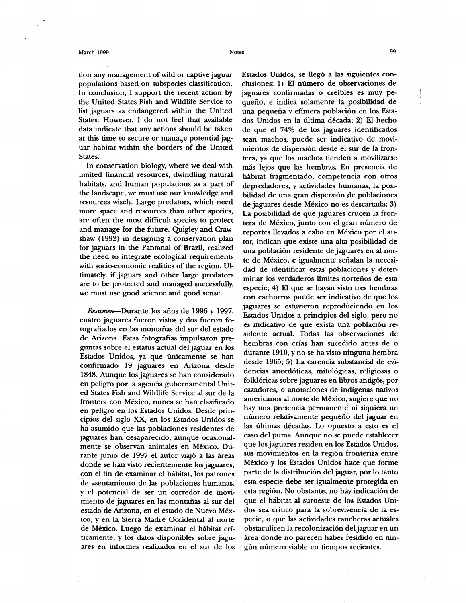#### **March 1999 Notes 99**

**tion any management of wild or captive jaguar populations based on subspecies classification. In conclusion, I support the recent action by the United States Fish and Wildlife Service to list jaguars as endangered within the United States. However, I do not feel that available data indicate that any actions should be taken at this time to secure or manage potential jaguar habitat within the borders of the United States.** 

**In conservation biology, where we deal with limited financial resources, dwindling natural habitats, and human populations as a part of the landscape, we must use our knowledge and resources wisely. Large predators, which need more space and resources than other species, are often the most difficult species to protect and manage for the future. Quigley and Crawshaw (1992) in designing a conservation plan for jaguars in the Pantanal of Brazil, realized the need to integrate ecological requirements with socio-economic realities of the region. Ultimately, -if jaguars and other large predators are to be protected and managed successfully, we must use good science and good sense.** 

**Resumen—Durante los afios de 1996 y 1997, cuatro jaguares fueron vistos y dos fueron fotografiados en las mointanas del sur del estado de Arizona. Estas fotografias impulsaron preguntas sobre el estatus actual del jaguar en los Estados Unidos, ya que imicamente se han confirmado 19 jaguares en Arizona desde 1848. Aunque los jaguares se han considerado en peligro por la agencia gubernamental United States Fish and Wildlife Service al sur de la frontera con Mexico, nunca se han clasificado en peligro en los Estados Unidos. Desde principios del siglo XX, en los Estados Unidos se ha asumido que las poblaciones residentes de jaguares han desaparecido, aunque ocasionalmente se observan animales en Mexico. Du**rante junio de 1997 el autor viajó a las áreas **donde se han visto recientemente los jaguares, con el fin de examinar el habitat, los patrones de asentamiento de las poblaciones humanas, y el potencial de ser un corredor de movi**miento de jaguares en las montañas al sur del **estado de Arizona, en el estado de Nuevo Mexico, y en la Sierra Madre Occidental al norte de Mexico. Luego de examinar el habitat criticamente, y los datos disponibles sobre jaguares en informes realizados en el sur de los** 

Estados Unidos, se llegó a las siguientes con**clusiones: 1) El numero de observaciones de jaguares confirmadas o creibles es muy pee indica solamente la posibilidad de**  una pequeña y efímera población en los Esta**dos Unidos en la illtima decada; 2) El hecho de que el 74% de los jaguares identificados sean machos, puede ser indicativo de movimientos de dispersion desde el sur de la frontera, ya que los machos tienden a movilizarse mas lejos que las hembras. En presencia de habitat fragmentado, competencia con otros depredadores, y actividades humanas, la posibilidad de una gran dispersi6n ale poblaciones de jaguares desde Mexico no es descartada; 3) La posibilidad de que jaguares crucen la frontera de Mexico, junto con el gran numero de reportes llevados a cabo en Mexico por el autor, indican que existe una alta posibilidad de una poblacion residente de jaguares en al nor**te de México, e igualmente señalan la necesi**dad de identificar estas poblaciones y deter**minar los verdaderos límites norteños de esta **especie; 4) El que se hayan visto tres hembras con cachorros puede ser indicativo de que los jaguares se estuvieron reproduciendo en los Estados Unidos a principios del siglo, pero no es indicativo de que exista una poblacion residente actual. Todas las observaciones de hembras con crias han sucedido antes de o durante 1910, y no se ha visto ninguna hembra desde 1965; 5) La carencia substancial de evidencias anecdoticas, mitologicas, religiosas o folkloricas sobre jaguares en libros antig6s, por cazadores, o anotaciones de indigenas nativos americanos al norte de Mexico, sugiere que no hay una presencia permanents ni siquiera un**  número relativamente pequeño del jaguar en **las altimas decadas. Lo opuesto a esto es el caso del puma. Aunque no se puede establecer que los jaguares residen en los Estados Unidos, sus movimientos en la region fronteriza entre Mexico y los Estados Unidos hace que forme parte de la distribucion del jaguar, por lo tanto esta especie debe ser igualmente protegida en esta region. No obstante, no hay indicacion de que el habitat al suroeste de los Estados Unidos sea critico para la sobrevivencia de la especie, o que las actividades rancheras actuales obstaculicen la recolonizacion del jaguar en un area donde no parecen haber residido en ningim numero viable en tiempos recientes.**